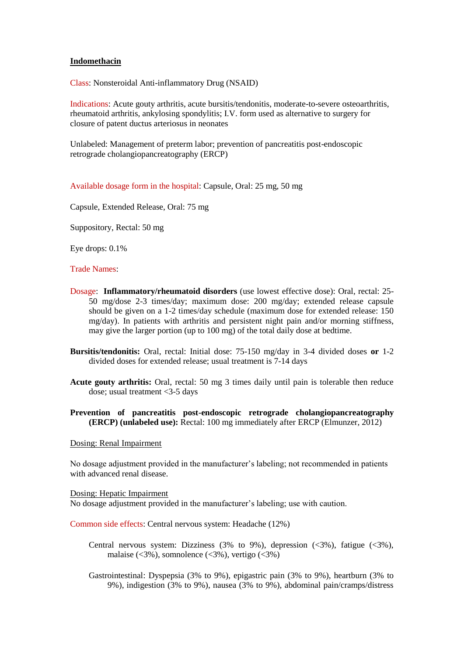## **Indomethacin**

Class: Nonsteroidal Anti-inflammatory Drug (NSAID)

Indications: Acute gouty arthritis, acute bursitis/tendonitis, moderate-to-severe osteoarthritis, rheumatoid arthritis, ankylosing spondylitis; I.V. form used as alternative to surgery for closure of patent ductus arteriosus in neonates

Unlabeled: Management of preterm labor; prevention of pancreatitis post-endoscopic retrograde cholangiopancreatography (ERCP)

Available dosage form in the hospital: Capsule, Oral: 25 mg, 50 mg

Capsule, Extended Release, Oral: 75 mg

Suppository, Rectal: 50 mg

Eye drops: 0.1%

## Trade Names:

- Dosage: **Inflammatory/rheumatoid disorders** (use lowest effective dose): Oral, rectal: 25- 50 mg/dose 2-3 times/day; maximum dose: 200 mg/day; extended release capsule should be given on a 1-2 times/day schedule (maximum dose for extended release: 150 mg/day). In patients with arthritis and persistent night pain and/or morning stiffness, may give the larger portion (up to 100 mg) of the total daily dose at bedtime.
- **Bursitis/tendonitis:** Oral, rectal: Initial dose: 75-150 mg/day in 3-4 divided doses **or** 1-2 divided doses for extended release; usual treatment is 7-14 days
- **Acute gouty arthritis:** Oral, rectal: 50 mg 3 times daily until pain is tolerable then reduce dose; usual treatment <3-5 days
- **Prevention of pancreatitis post-endoscopic retrograde cholangiopancreatography (ERCP) (unlabeled use):** Rectal: 100 mg immediately after ERCP (Elmunzer, 2012)

Dosing: Renal Impairment

No dosage adjustment provided in the manufacturer's labeling; not recommended in patients with advanced renal disease.

## Dosing: Hepatic Impairment

No dosage adjustment provided in the manufacturer's labeling; use with caution.

Common side effects: Central nervous system: Headache (12%)

Central nervous system: Dizziness  $(3\%$  to  $9\%)$ , depression  $(\leq 3\%)$ , fatigue  $(\leq 3\%)$ , malaise ( $\langle 3\%$ ), somnolence ( $\langle 3\%$ ), vertigo ( $\langle 3\% \rangle$ )

Gastrointestinal: Dyspepsia (3% to 9%), epigastric pain (3% to 9%), heartburn (3% to 9%), indigestion (3% to 9%), nausea (3% to 9%), abdominal pain/cramps/distress